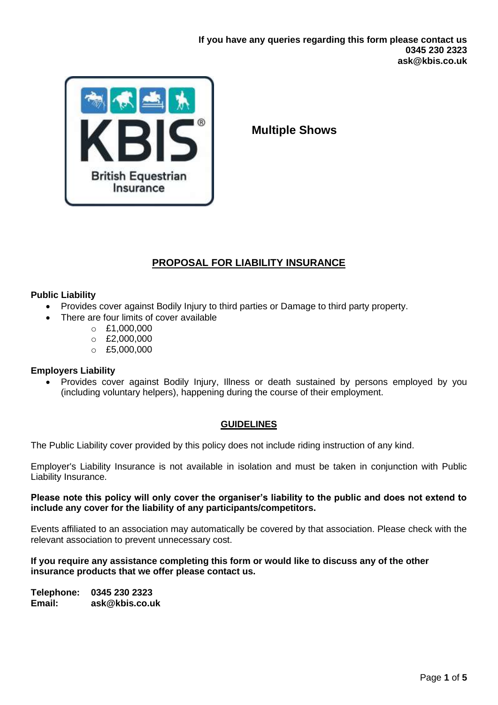

**Multiple Shows** 

# **PROPOSAL FOR LIABILITY INSURANCE**

# **Public Liability**

- Provides cover against Bodily Injury to third parties or Damage to third party property.
- There are four limits of cover available
	- $O E1,000,000$
	- $O$  £2,000,000
	- $O$  £5,000,000

# **Employers Liability**

• Provides cover against Bodily Injury, Illness or death sustained by persons employed by you (including voluntary helpers), happening during the course of their employment.

# **GUIDELINES**

The Public Liability cover provided by this policy does not include riding instruction of any kind.

Employer's Liability Insurance is not available in isolation and must be taken in conjunction with Public Liability Insurance.

## **Please note this policy will only cover the organiser's liability to the public and does not extend to include any cover for the liability of any participants/competitors.**

Events affiliated to an association may automatically be covered by that association. Please check with the relevant association to prevent unnecessary cost.

## **If you require any assistance completing this form or would like to discuss any of the other insurance products that we offer please contact us.**

**Telephone: 0345 230 2323 Email: ask@kbis.co.uk**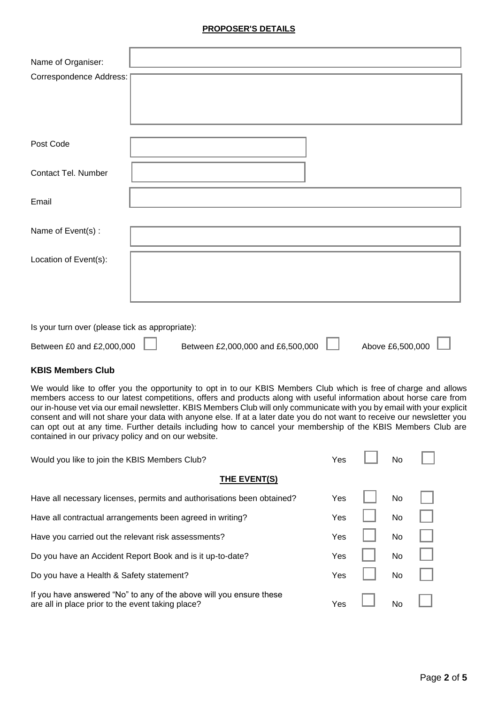#### **PROPOSER'S DETAILS**

| Name of Organiser:      |  |
|-------------------------|--|
| Correspondence Address: |  |
|                         |  |
|                         |  |
|                         |  |
| Post Code               |  |
|                         |  |
| Contact Tel. Number     |  |
|                         |  |
| Email                   |  |
| Name of Event(s) :      |  |
|                         |  |
| Location of Event(s):   |  |
|                         |  |
|                         |  |
|                         |  |
|                         |  |

Is your turn over (please tick as appropriate):

| Between £0 and £2,000,000 | Between £2,000,000 and £6,500,000 | Above £6,500,000 |
|---------------------------|-----------------------------------|------------------|

#### **KBIS Members Club**

We would like to offer you the opportunity to opt in to our KBIS Members Club which is free of charge and allows members access to our latest competitions, offers and products along with useful information about horse care from our in-house vet via our email newsletter. KBIS Members Club will only communicate with you by email with your explicit consent and will not share your data with anyone else. If at a later date you do not want to receive our newsletter you can opt out at any time. Further details including how to cancel your membership of the KBIS Members Club are contained in our privacy policy and on our website.

| Would you like to join the KBIS Members Club?                                                                            | Yes | No             |  |
|--------------------------------------------------------------------------------------------------------------------------|-----|----------------|--|
| THE EVENT(S)                                                                                                             |     |                |  |
| Have all necessary licenses, permits and authorisations been obtained?                                                   | Yes | N <sub>o</sub> |  |
| Have all contractual arrangements been agreed in writing?                                                                | Yes | N <sub>o</sub> |  |
| Have you carried out the relevant risk assessments?                                                                      | Yes | N <sub>o</sub> |  |
| Do you have an Accident Report Book and is it up-to-date?                                                                | Yes | No             |  |
| Do you have a Health & Safety statement?                                                                                 | Yes | No.            |  |
| If you have answered "No" to any of the above will you ensure these<br>are all in place prior to the event taking place? | Yes | No             |  |

F ÷. F ٦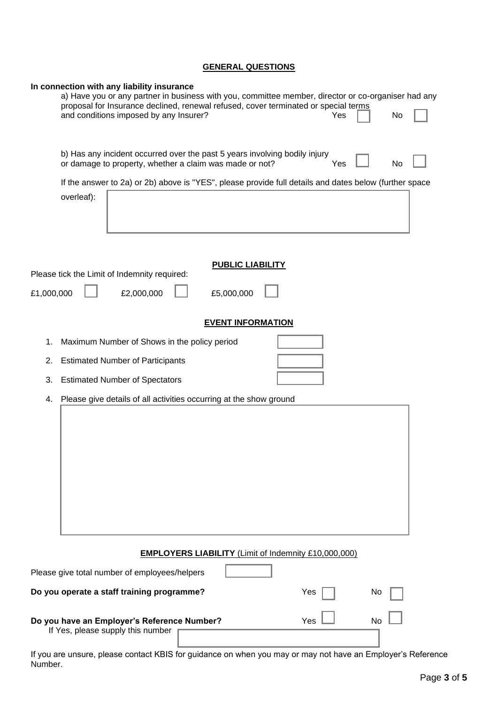# **GENERAL QUESTIONS**

| In connection with any liability insurance<br>a) Have you or any partner in business with you, committee member, director or co-organiser had any<br>proposal for Insurance declined, renewal refused, cover terminated or special terms<br>and conditions imposed by any Insurer?<br>Yes<br>No |
|-------------------------------------------------------------------------------------------------------------------------------------------------------------------------------------------------------------------------------------------------------------------------------------------------|
| b) Has any incident occurred over the past 5 years involving bodily injury<br>or damage to property, whether a claim was made or not?<br>Yes<br>No                                                                                                                                              |
| If the answer to 2a) or 2b) above is "YES", please provide full details and dates below (further space<br>overleaf):                                                                                                                                                                            |
| <b>PUBLIC LIABILITY</b>                                                                                                                                                                                                                                                                         |
| Please tick the Limit of Indemnity required:                                                                                                                                                                                                                                                    |
| £5,000,000<br>£1,000,000<br>£2,000,000                                                                                                                                                                                                                                                          |
| <b>EVENT INFORMATION</b>                                                                                                                                                                                                                                                                        |
| Maximum Number of Shows in the policy period<br>1.                                                                                                                                                                                                                                              |
| <b>Estimated Number of Participants</b><br>2.                                                                                                                                                                                                                                                   |
| <b>Estimated Number of Spectators</b><br>3.                                                                                                                                                                                                                                                     |
| Please give details of all activities occurring at the show ground<br>4.                                                                                                                                                                                                                        |
|                                                                                                                                                                                                                                                                                                 |
| <b>EMPLOYERS LIABILITY (Limit of Indemnity £10,000,000)</b>                                                                                                                                                                                                                                     |
| Please give total number of employees/helpers                                                                                                                                                                                                                                                   |
| Do you operate a staff training programme?<br>Yes<br>Νo                                                                                                                                                                                                                                         |
| Do you have an Employer's Reference Number?<br>Yes<br>No<br>If Yes, please supply this number                                                                                                                                                                                                   |

If you are unsure, please contact KBIS for guidance on when you may or may not have an Employer's Reference Number.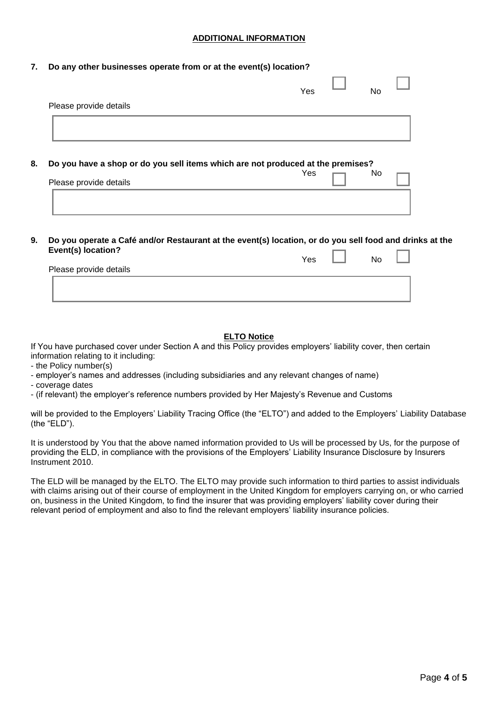#### **ADDITIONAL INFORMATION**

#### **7. Do any other businesses operate from or at the event(s) location?**

|                                                                                                           | Yes | No |  |
|-----------------------------------------------------------------------------------------------------------|-----|----|--|
| Please provide details                                                                                    |     |    |  |
|                                                                                                           |     |    |  |
|                                                                                                           |     |    |  |
|                                                                                                           |     |    |  |
|                                                                                                           |     |    |  |
|                                                                                                           |     |    |  |
|                                                                                                           |     |    |  |
|                                                                                                           |     |    |  |
|                                                                                                           | Yes | No |  |
| Do you have a shop or do you sell items which are not produced at the premises?<br>Please provide details |     |    |  |

**9. Do you operate a Café and/or Restaurant at the event(s) location, or do you sell food and drinks at the Event(s) location?**  r  $\overline{\phantom{a}}$ 

|                        | Yes | No |  |
|------------------------|-----|----|--|
| Please provide details |     |    |  |
|                        |     |    |  |
|                        |     |    |  |
|                        |     |    |  |

#### **ELTO Notice**

If You have purchased cover under Section A and this Policy provides employers' liability cover, then certain information relating to it including:

- the Policy number(s)
- employer's names and addresses (including subsidiaries and any relevant changes of name)
- coverage dates
- (if relevant) the employer's reference numbers provided by Her Majesty's Revenue and Customs

will be provided to the Employers' Liability Tracing Office (the "ELTO") and added to the Employers' Liability Database (the "ELD").

It is understood by You that the above named information provided to Us will be processed by Us, for the purpose of providing the ELD, in compliance with the provisions of the Employers' Liability Insurance Disclosure by Insurers Instrument 2010.

The ELD will be managed by the ELTO. The ELTO may provide such information to third parties to assist individuals with claims arising out of their course of employment in the United Kingdom for employers carrying on, or who carried on, business in the United Kingdom, to find the insurer that was providing employers' liability cover during their relevant period of employment and also to find the relevant employers' liability insurance policies.